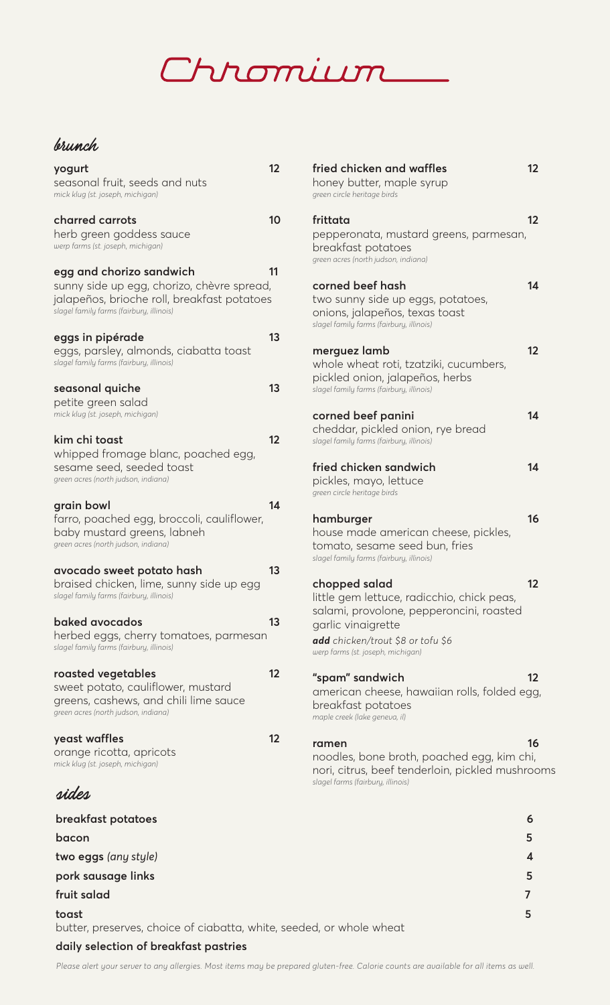# Chromium

#### brunch

| yogurt<br>seasonal fruit, seeds and nuts<br>mick klug (st. joseph, michigan)                                                                                      | 12       | fried chicken and waffles<br>honey butter, maple syrup<br>green circle heritage birds                                                      | 12             |
|-------------------------------------------------------------------------------------------------------------------------------------------------------------------|----------|--------------------------------------------------------------------------------------------------------------------------------------------|----------------|
| charred carrots<br>herb green goddess sauce<br>werp farms (st. joseph, michigan)                                                                                  | 10       | frittata<br>pepperonata, mustard greens, parmesan,<br>breakfast potatoes<br>green acres (north judson, indiana)                            | 12             |
| egg and chorizo sandwich<br>sunny side up egg, chorizo, chèvre spread,<br>jalapeños, brioche roll, breakfast potatoes<br>slagel family farms (fairbury, illinois) | 11       | corned beef hash<br>two sunny side up eggs, potatoes,<br>onions, jalapeños, texas toast<br>slagel family farms (fairbury, illinois)        | 14             |
| eggs in pipérade<br>eggs, parsley, almonds, ciabatta toast<br>slagel family farms (fairbury, illinois)                                                            | 13<br>13 | merguez lamb<br>whole wheat roti, tzatziki, cucumbers,<br>pickled onion, jalapeños, herbs                                                  | 12             |
| seasonal quiche<br>petite green salad<br>mick klug (st. joseph, michigan)                                                                                         |          | slagel family farms (fairbury, illinois)<br>corned beef panini                                                                             | 14             |
| kim chi toast<br>whipped fromage blanc, poached egg,                                                                                                              | 12       | cheddar, pickled onion, rye bread<br>slagel family farms (fairbury, illinois)                                                              |                |
| sesame seed, seeded toast<br>green acres (north judson, indiana)                                                                                                  |          | fried chicken sandwich<br>pickles, mayo, lettuce<br>green circle heritage birds                                                            | 14             |
| grain bowl<br>farro, poached egg, broccoli, cauliflower,<br>baby mustard greens, labneh<br>green acres (north judson, indiana)                                    | 14       | hamburger<br>house made american cheese, pickles,<br>tomato, sesame seed bun, fries<br>slagel family farms (fairbury, illinois)            | 16             |
| avocado sweet potato hash<br>braised chicken, lime, sunny side up egg<br>slagel family farms (fairbury, illinois)                                                 | 13       | chopped salad<br>little gem lettuce, radicchio, chick peas,                                                                                | 12             |
| baked avocados<br>herbed eggs, cherry tomatoes, parmesan<br>slagel family farms (fairbury, illinois)                                                              | 13       | salami, provolone, pepperoncini, roasted<br>garlic vinaigrette<br>add chicken/trout \$8 or tofu \$6<br>werp farms (st. joseph, michigan)   |                |
| roasted vegetables<br>sweet potato, cauliflower, mustard<br>greens, cashews, and chili lime sauce<br>green acres (north judson, indiana)                          | 12       | "spam" sandwich<br>american cheese, hawaiian rolls, folded egg<br>breakfast potatoes<br>maple creek (lake geneva, il)                      | 12             |
| yeast waffles<br>orange ricotta, apricots<br>mick klug (st. joseph, michigan)                                                                                     | 12       | ramen<br>noodles, bone broth, poached egg, kim chi,<br>nori, citrus, beef tenderloin, pickled mushroo<br>slagel farms (fairbury, illinois) | 16             |
| sides                                                                                                                                                             |          |                                                                                                                                            |                |
| breakfast potatoes                                                                                                                                                |          |                                                                                                                                            | 6              |
| bacon                                                                                                                                                             |          |                                                                                                                                            | 5              |
| two eggs (any style)                                                                                                                                              |          |                                                                                                                                            | 4              |
| pork sausage links                                                                                                                                                |          |                                                                                                                                            | 5              |
| fruit salad                                                                                                                                                       |          |                                                                                                                                            | $\overline{7}$ |
| toast<br>butter, preserves, choice of ciabatta, white, seeded, or whole wheat                                                                                     |          |                                                                                                                                            | 5              |
| daily selection of breakfast pastries                                                                                                                             |          |                                                                                                                                            |                |

| fried chicken and waffles<br>honey butter, maple syrup<br>green circle heritage birds                                                                                                                   | 12 |
|---------------------------------------------------------------------------------------------------------------------------------------------------------------------------------------------------------|----|
| frittata<br>pepperonata, mustard greens, parmesan,<br>breakfast potatoes<br>green acres (north judson, indiana)                                                                                         | 12 |
| corned beef hash<br>two sunny side up eggs, potatoes,<br>onions, jalapeños, texas toast<br>slagel family farms (fairbury, illinois)                                                                     | 14 |
| merguez lamb<br>whole wheat roti, tzatziki, cucumbers,<br>pickled onion, jalapeños, herbs<br>slagel family farms (fairbury, illinois)                                                                   | 12 |
| corned beef panini<br>cheddar, pickled onion, rye bread<br>slagel family farms (fairbury, illinois)                                                                                                     | 14 |
| fried chicken sandwich<br>pickles, mayo, lettuce<br>green circle heritage birds                                                                                                                         | 14 |
| hamburger<br>house made american cheese, pickles,<br>tomato, sesame seed bun, fries<br>slagel family farms (fairbury, illinois)                                                                         | 16 |
| chopped salad<br>little gem lettuce, radicchio, chick peas,<br>salami, provolone, pepperoncini, roasted<br>garlic vinaigrette<br>add chicken/trout \$8 or tofu \$6<br>werp farms (st. joseph, michigan) | 12 |
| "spam" sandwich<br>american cheese, hawaiian rolls, folded egg,<br>breakfast potatoes<br>maple creek (lake geneva, il)                                                                                  | 12 |
| ramen<br>noodles, bone broth, poached egg, kim chi,<br>nori, citrus, beef tenderloin, pickled mushrooms<br>slagel farms (fairbury, illinois)                                                            | 16 |
|                                                                                                                                                                                                         | 6  |
|                                                                                                                                                                                                         | 5  |

*Please alert your server to any allergies. Most items may be prepared gluten-free. Calorie counts are available for all items as well.*